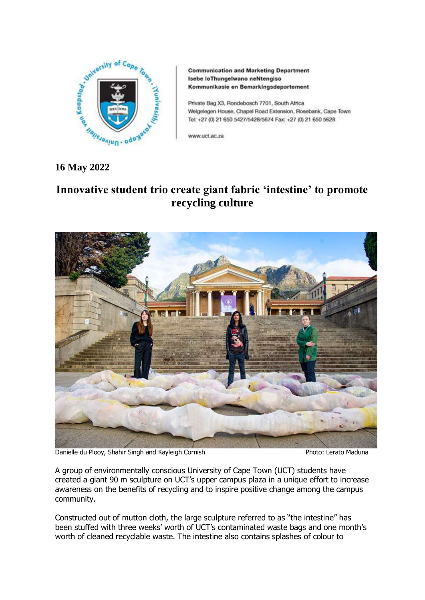

**Communication and Marketing Department** Isebe loThungelwano neNtengiso Kommunikasie en Bemarkingsdepartement

Private Bag X3, Rondebosch 7701, South Africa Welgelegen House, Chapel Road Extension, Rosebank, Cape Town Tel: +27 (0) 21 650 5427/5428/5674 Fax: +27 (0) 21 650 5628

www.uct.ac.za

## **16 May 2022**

# **Innovative student trio create giant fabric 'intestine' to promote recycling culture**



Danielle du Plooy, Shahir Singh and Kayleigh Cornish **Photo: Lerato Maduna** Photo: Lerato Maduna

A group of environmentally conscious University of Cape Town (UCT) students have created a giant 90 m sculpture on UCT's upper campus plaza in a unique effort to increase awareness on the benefits of recycling and to inspire positive change among the campus community.

Constructed out of mutton cloth, the large sculpture referred to as "the intestine" has been stuffed with three weeks' worth of UCT's contaminated waste bags and one month's worth of cleaned recyclable waste. The intestine also contains splashes of colour to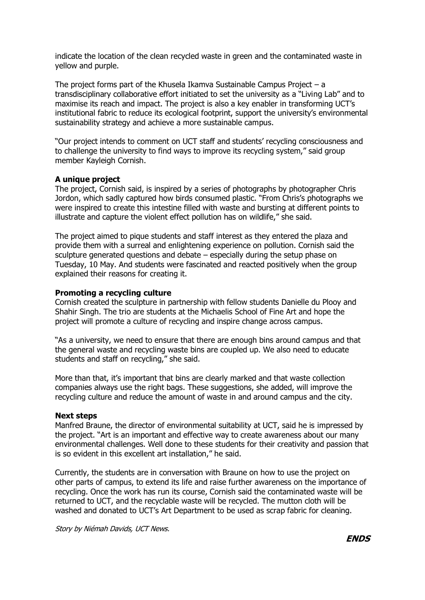indicate the location of the clean recycled waste in green and the contaminated waste in yellow and purple.

The project forms part of the Khusela Ikamva Sustainable Campus Project – a transdisciplinary collaborative effort initiated to set the university as a "Living Lab" and to maximise its reach and impact. The project is also a key enabler in transforming UCT's institutional fabric to reduce its ecological footprint, support the university's environmental sustainability strategy and achieve a more sustainable campus.

"Our project intends to comment on UCT staff and students' recycling consciousness and to challenge the university to find ways to improve its recycling system," said group member Kayleigh Cornish.

### **A unique project**

The project, Cornish said, is inspired by a series of photographs by photographer Chris Jordon, which sadly captured how birds consumed plastic. "From Chris's photographs we were inspired to create this intestine filled with waste and bursting at different points to illustrate and capture the violent effect pollution has on wildlife," she said.

The project aimed to pique students and staff interest as they entered the plaza and provide them with a surreal and enlightening experience on pollution. Cornish said the sculpture generated questions and debate – especially during the setup phase on Tuesday, 10 May. And students were fascinated and reacted positively when the group explained their reasons for creating it.

### **Promoting a recycling culture**

Cornish created the sculpture in partnership with fellow students Danielle du Plooy and Shahir Singh. The trio are students at the Michaelis School of Fine Art and hope the project will promote a culture of recycling and inspire change across campus.

"As a university, we need to ensure that there are enough bins around campus and that the general waste and recycling waste bins are coupled up. We also need to educate students and staff on recycling," she said.

More than that, it's important that bins are clearly marked and that waste collection companies always use the right bags. These suggestions, she added, will improve the recycling culture and reduce the amount of waste in and around campus and the city.

### **Next steps**

Manfred Braune, the director of environmental suitability at UCT, said he is impressed by the project. "Art is an important and effective way to create awareness about our many environmental challenges. Well done to these students for their creativity and passion that is so evident in this excellent art installation," he said.

Currently, the students are in conversation with Braune on how to use the project on other parts of campus, to extend its life and raise further awareness on the importance of recycling. Once the work has run its course, Cornish said the contaminated waste will be returned to UCT, and the recyclable waste will be recycled. The mutton cloth will be washed and donated to UCT's Art Department to be used as scrap fabric for cleaning.

Story by Niémah Davids, UCT News.